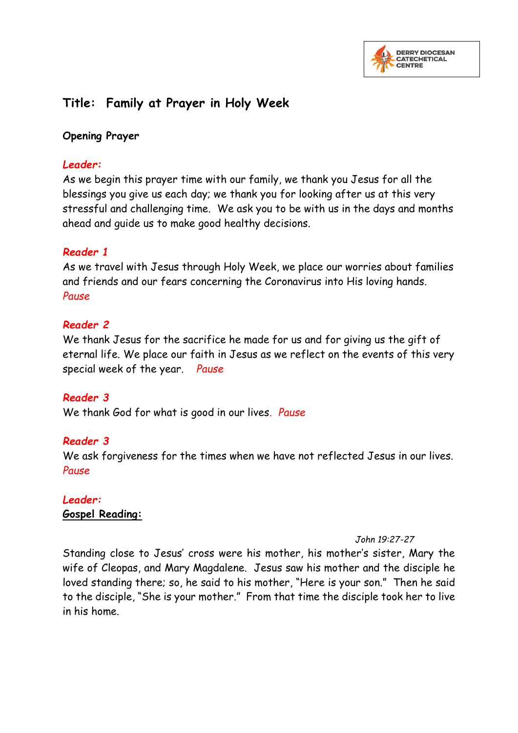

# **Title: Family at Prayer in Holy Week**

### **Opening Prayer**

### *Leader:*

As we begin this prayer time with our family, we thank you Jesus for all the blessings you give us each day; we thank you for looking after us at this very stressful and challenging time. We ask you to be with us in the days and months ahead and guide us to make good healthy decisions.

### *Reader 1*

As we travel with Jesus through Holy Week, we place our worries about families and friends and our fears concerning the Coronavirus into His loving hands. *Pause*

### *Reader 2*

We thank Jesus for the sacrifice he made for us and for giving us the gift of eternal life. We place our faith in Jesus as we reflect on the events of this very special week of the year. *Pause*

### *Reader 3*

We thank God for what is good in our lives. *Pause*

## *Reader 3*

We ask forgiveness for the times when we have not reflected Jesus in our lives. *Pause*

## *Leader:*

## **Gospel Reading:**

#### *John 19:27-27*

Standing close to Jesus' cross were his mother, his mother's sister, Mary the wife of Cleopas, and Mary Magdalene. Jesus saw his mother and the disciple he loved standing there; so, he said to his mother, "Here is your son." Then he said to the disciple, "She is your mother." From that time the disciple took her to live in his home.